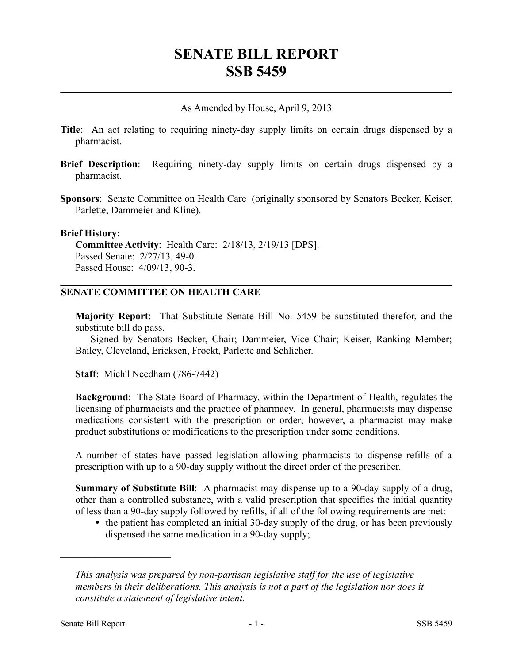# **SENATE BILL REPORT SSB 5459**

As Amended by House, April 9, 2013

- **Title**: An act relating to requiring ninety-day supply limits on certain drugs dispensed by a pharmacist.
- **Brief Description**: Requiring ninety-day supply limits on certain drugs dispensed by a pharmacist.
- **Sponsors**: Senate Committee on Health Care (originally sponsored by Senators Becker, Keiser, Parlette, Dammeier and Kline).

### **Brief History:**

**Committee Activity**: Health Care: 2/18/13, 2/19/13 [DPS]. Passed Senate: 2/27/13, 49-0. Passed House: 4/09/13, 90-3.

## **SENATE COMMITTEE ON HEALTH CARE**

**Majority Report**: That Substitute Senate Bill No. 5459 be substituted therefor, and the substitute bill do pass.

Signed by Senators Becker, Chair; Dammeier, Vice Chair; Keiser, Ranking Member; Bailey, Cleveland, Ericksen, Frockt, Parlette and Schlicher.

**Staff**: Mich'l Needham (786-7442)

**Background**: The State Board of Pharmacy, within the Department of Health, regulates the licensing of pharmacists and the practice of pharmacy. In general, pharmacists may dispense medications consistent with the prescription or order; however, a pharmacist may make product substitutions or modifications to the prescription under some conditions.

A number of states have passed legislation allowing pharmacists to dispense refills of a prescription with up to a 90-day supply without the direct order of the prescriber.

**Summary of Substitute Bill**: A pharmacist may dispense up to a 90-day supply of a drug, other than a controlled substance, with a valid prescription that specifies the initial quantity of less than a 90-day supply followed by refills, if all of the following requirements are met:

• the patient has completed an initial 30-day supply of the drug, or has been previously dispensed the same medication in a 90-day supply;

––––––––––––––––––––––

*This analysis was prepared by non-partisan legislative staff for the use of legislative members in their deliberations. This analysis is not a part of the legislation nor does it constitute a statement of legislative intent.*